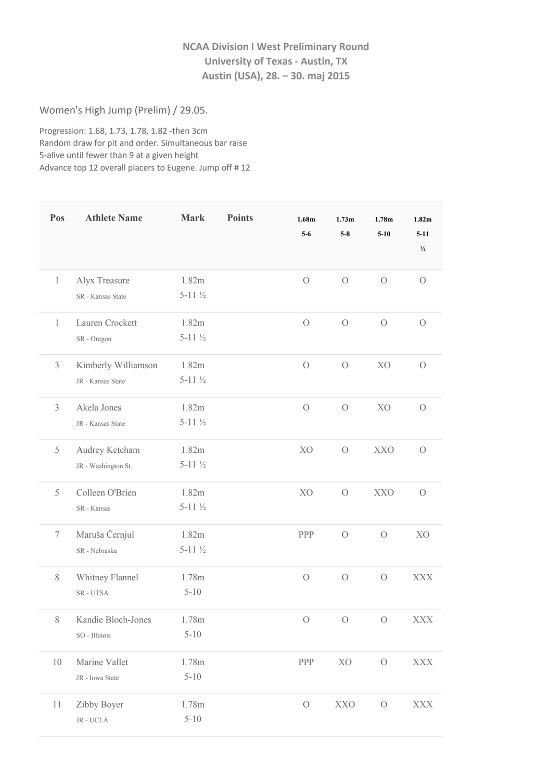## **NCAA Division I West Preliminary Round University of Texas ‐ Austin, TX Austin (USA), 28. – 30. maj 2015**

Women's High Jump (Prelim) / 29.05.

Progression: 1.68, 1.73, 1.78, 1.82 ‐then 3cm Random draw for pit and order. Simultaneous bar raise 5‐alive until fewer than 9 at a given height Advance top 12 overall placers to Eugene. Jump off # 12

| Pos            | <b>Athlete Name</b>                      | <b>Mark</b>                | <b>Points</b> | 1.68m<br>$5-6$ | 1.73 <sub>m</sub><br>$5-8$ | 1.78 <sub>m</sub><br>$5 - 10$ | 1.82m<br>$5 - 11$<br>$\frac{1}{2}$ |
|----------------|------------------------------------------|----------------------------|---------------|----------------|----------------------------|-------------------------------|------------------------------------|
| $\mathbf{1}$   | Alyx Treasure<br>SR - Kansas State       | 1.82m<br>$5-11\frac{1}{2}$ |               | $\overline{O}$ | $\bigcirc$                 | $\bigcirc$                    | $\overline{O}$                     |
| $\mathbf{1}$   | Lauren Crockett<br>SR - Oregon           | 1.82m<br>$5-11\frac{1}{2}$ |               | $\overline{O}$ | $\overline{O}$             | $\bigcirc$                    | $\overline{O}$                     |
| $\mathfrak{Z}$ | Kimberly Williamson<br>JR - Kansas State | 1.82m<br>$5-11\frac{1}{2}$ |               | $\overline{O}$ | $\overline{O}$             | X <sub>O</sub>                | $\overline{O}$                     |
| $\mathfrak{Z}$ | Akela Jones<br>JR - Kansas State         | 1.82m<br>$5-11\frac{1}{2}$ |               | $\overline{O}$ | $\overline{O}$             | X <sub>O</sub>                | $\overline{O}$                     |
| 5              | Audrey Ketcham<br>JR - Washington St.    | 1.82m<br>$5-11\frac{1}{2}$ |               | X <sub>O</sub> | $\bigcirc$                 | <b>XXO</b>                    | $\overline{O}$                     |
| 5              | Colleen O'Brien<br>SR - Kansas           | 1.82m<br>$5-11\frac{1}{2}$ |               | X <sub>O</sub> | $\bigcirc$                 | <b>XXO</b>                    | $\overline{O}$                     |
| $\tau$         | Maruša Černjul<br>SR - Nebraska          | 1.82m<br>$5-11\frac{1}{2}$ |               | PPP            | $\bigcirc$                 | $\bigcirc$                    | X <sub>O</sub>                     |
| $\,$ $\,$      | Whitney Flannel<br>SR-UTSA               | 1.78m<br>$5 - 10$          |               | $\bigcirc$     | $\bigcirc$                 | $\bigcirc$                    | XXX                                |
| 8              | Kandie Bloch-Jones<br>SO - Illinois      | 1.78m<br>$5 - 10$          |               |                | $0\qquad 0\qquad 0$        |                               | <b>XXX</b>                         |
| 10             | Marine Vallet<br>JR - Iowa State         | 1.78m<br>$5 - 10$          |               | PPP            | XO                         | $\mathcal O$                  | <b>XXX</b>                         |
| 11             | Zibby Boyer<br>$\rm JR$ - $\rm UCLA$     | 1.78m<br>$5 - 10$          |               | $\mathcal O$   | <b>XXO</b>                 | $\mathcal O$                  | <b>XXX</b>                         |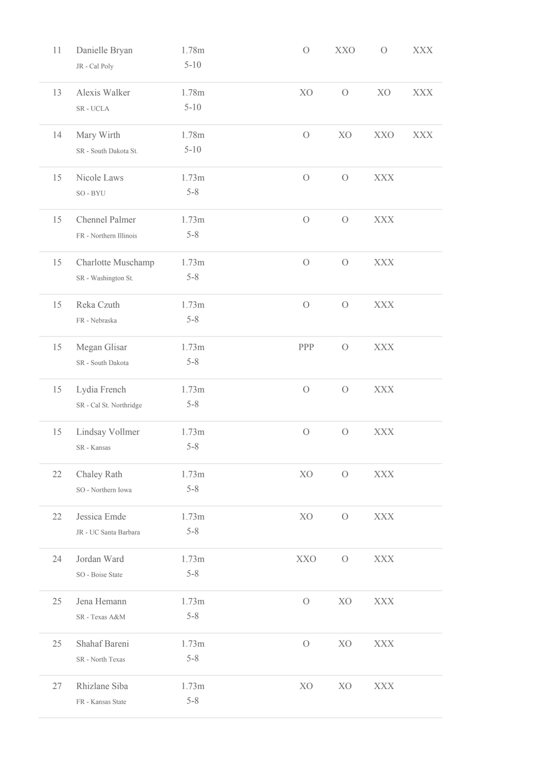| 11 | Danielle Bryan          | 1.78m    | $\bigcirc$     | <b>XXO</b>     | $\bigcirc$     | <b>XXX</b> |
|----|-------------------------|----------|----------------|----------------|----------------|------------|
|    | JR - Cal Poly           | $5 - 10$ |                |                |                |            |
| 13 | Alexis Walker           | 1.78m    | X <sub>O</sub> | $\bigcirc$     | X <sub>O</sub> | <b>XXX</b> |
|    | $SR$ - $UCLA$           | $5 - 10$ |                |                |                |            |
| 14 | Mary Wirth              | 1.78m    | $\overline{O}$ | XO             | <b>XXO</b>     | <b>XXX</b> |
|    | SR - South Dakota St.   | $5 - 10$ |                |                |                |            |
| 15 | Nicole Laws             | 1.73m    | $\overline{O}$ | $\bigcirc$     | <b>XXX</b>     |            |
|    | $SO - BYU$              | $5 - 8$  |                |                |                |            |
| 15 | Chennel Palmer          | 1.73m    | $\bigcirc$     | $\bigcirc$     | <b>XXX</b>     |            |
|    | FR - Northern Illinois  | $5 - 8$  |                |                |                |            |
| 15 | Charlotte Muschamp      | 1.73m    | $\bigcirc$     | $\bigcirc$     | <b>XXX</b>     |            |
|    | SR - Washington St.     | $5 - 8$  |                |                |                |            |
| 15 | Reka Czuth              | 1.73m    | $\bigcirc$     | $\bigcirc$     | <b>XXX</b>     |            |
|    | FR - Nebraska           | $5 - 8$  |                |                |                |            |
| 15 | Megan Glisar            | 1.73m    | PPP            | $\bigcirc$     | <b>XXX</b>     |            |
|    | SR - South Dakota       | $5 - 8$  |                |                |                |            |
| 15 | Lydia French            | 1.73m    | $\overline{O}$ | $\bigcirc$     | XXX            |            |
|    | SR - Cal St. Northridge | $5 - 8$  |                |                |                |            |
| 15 | Lindsay Vollmer         | 1.73m    | $\bigcirc$     | $\bigcirc$     | <b>XXX</b>     |            |
|    | SR - Kansas             | $5 - 8$  |                |                |                |            |
| 22 | Chaley Rath             | 1.73m    | XO             | $\overline{O}$ | XXX            |            |
|    | SO - Northern Iowa      | $5 - 8$  |                |                |                |            |
| 22 | Jessica Emde            | 1.73m    | XO             | $\bigcirc$     | <b>XXX</b>     |            |
|    | JR - UC Santa Barbara   | $5 - 8$  |                |                |                |            |
| 24 | Jordan Ward             | 1.73m    | <b>XXO</b>     | $\bigcirc$     | <b>XXX</b>     |            |
|    | SO - Boise State        | $5 - 8$  |                |                |                |            |
| 25 | Jena Hemann             | 1.73m    | $\bigcirc$     | XO             | <b>XXX</b>     |            |
|    | SR - Texas A&M          | $5 - 8$  |                |                |                |            |
| 25 | Shahaf Bareni           | 1.73m    | $\bigcirc$     | XO             | <b>XXX</b>     |            |
|    | SR - North Texas        | $5 - 8$  |                |                |                |            |
| 27 | Rhizlane Siba           | 1.73m    | X <sub>O</sub> | X <sub>O</sub> | <b>XXX</b>     |            |
|    | FR - Kansas State       | $5 - 8$  |                |                |                |            |
|    |                         |          |                |                |                |            |